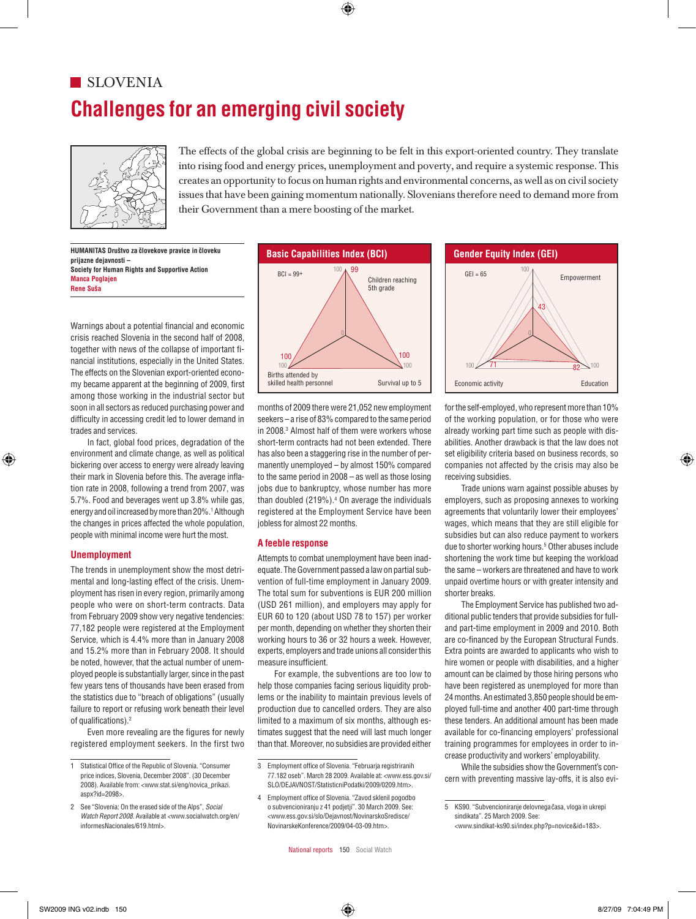# **Challenges for an emerging civil society SLOVENIA**



The effects of the global crisis are beginning to be felt in this export-oriented country. They translate into rising food and energy prices, unemployment and poverty, and require a systemic response. This into rising food and energy prices, unemployment and poverty, and require a systemic response. This creates an opportunity to focus on human rights and environmental concerns, as well as on civil society issues that have been gaining momentum nationally. Slovenians therefore need to demand more from their Government than a mere boosting of the market.  $\sum_{i=1}^{\infty}$  issues that have been gaining momentum nationally. Slovenians therefore need to demand more from  $\mathbb{R}^3$  issues that have been gaining momentum nationally. Slovenians therefore need to demand more from

> **HUMANITAS Društvo za ˇclovekove pravice in ˇcloveku prijazne dejavnosti – Society for Human Rights and Supportive Action** 100 **Manca Poglajen Rene Suša**

Warnings about a potential financial and economic crisis reached Slovenia in the second half of 2008, 0 together with news of the collapse of important financial institutions, especially in the United States. 100 100 67 The effects on the Slovenian export-oriented economy became apparent at the beginning of 2009, first among those working in the industrial sector but soon in all sectors as reduced purchasing power and difficulty in accessing credit led to lower demand in trades and services. among those working in the industrial sector but among those working in the industrial sector but

> In fact, global food prices, degradation of the environment and climate change, as well as political bickering over access to energy were already leaving 100 their mark in Slovenia before this. The average inflation rate in 2008, following a trend from 2007, was 5.7%. Food and beverages went up 3.8% while gas, energy and oil increased by more than 20%.1 Although the changes in prices affected the whole population, people with minimal income were hurt the most.

## **Unemployment**

The trends in unemployment show the most detrimental and long-lasting effect of the crisis. Unemployment has risen in every region, primarily among people who were on short-term contracts. Data from February 2009 show very negative tendencies: 77,182 people were registered at the Employment Service, which is 4.4% more than in January 2008 and 15.2% more than in February 2008. It should be noted, however, that the actual number of unemployed people is substantially larger, since in the past few years tens of thousands have been erased from the statistics due to "breach of obligations" (usually failure to report or refusing work beneath their level of qualifications).<sup>2</sup> people who were on short-term contracts. Data (USD 261 million), and employers may apply for The Employment Service has p  $\frac{1}{2}$  of  $\frac{3}{2}$  is  $\frac{3}{2}$  is  $\frac{3}{2}$  is  $\frac{3}{2}$  is  $\frac{3}{2}$  is  $\frac{3}{2}$  is  $\frac{3}{2}$  is  $\frac{3}{2}$  is  $\frac{3}{2}$  is  $\frac{3}{2}$  is  $\frac{3}{2}$  is  $\frac{3}{2}$  is  $\frac{3}{2}$  is  $\frac{3}{2}$  is  $\frac{3}{2}$  is  $\frac{3}{2}$  is

> Even more revealing are the figures for newly registered employment seekers. In the first two



months of 2009 there were 21,052 new employment seekers – a rise of 83% compared to the same period in 2008.<sup>3</sup> Almost half of them were workers whose short-term contracts had not been extended. There has also been a staggering rise in the number of permanently unemployed - by almost 150% compared to the same period in  $2008 - as$  well as those losing jobs due to bankruptcy, whose number has more than doubled  $(219%)$ .<sup>4</sup> On average the individuals registered at the Employment Service have been jobless for almost 22 months.

# **A feeble response**

Attempts to combat unemployment have been inadequate. The Government passed a law on partial subvention of full-time employment in January 2009. The total sum for subventions is EUR 200 million EUR 60 to 120 (about USD 78 to 157) per worker per month, depending on whether they shorten their working hours to 36 or 32 hours a week. However, experts, employers and trade unions all consider this measure insufficient.

For example, the subventions are too low to help those companies facing serious liquidity problems or the inability to maintain previous levels of production due to cancelled orders. They are also limited to a maximum of six months, although estimates suggest that the need will last much longer than that. Moreover, no subsidies are provided either



for the self-employed, who represent more than 10% of the working population, or for those who were already working part time such as people with disabilities. Another drawback is that the law does not set eligibility criteria based on business records, so companies not affected by the crisis may also be receiving subsidies.

Trade unions warn against possible abuses by employers, such as proposing annexes to working agreements that voluntarily lower their employees' agreements that velantarity reflect their employees subsidies but can also reduce payment to workers due to shorter working hours.<sup>5</sup> Other abuses include shortening the work time but keeping the workload shortening the work time but keeping the workload<br>the same – workers are threatened and have to work unpaid overtime hours or with greater intensity and shorter breaks.

 $\mathrm{n}$ illion), and employers may apply for  $\hskip1cm$  The Employment Service has published two additional public tenders that provide subsidies for fulland part-time employment in 2009 and 2010. Both are co-financed by the European Structural Funds. Extra points are awarded to applicants who wish to hire women or people with disabilities, and a higher amount can be claimed by those hiring persons who have been registered as unemployed for more than 24 months. An estimated 3,850 people should be employed full-time and another 400 part-time through these tenders. An additional amount has been made available for co-financing employers' professional training programmes for employees in order to increase productivity and workers' employability.

> While the subsidies show the Government's concern with preventing massive lay-offs, it is also evi-

<sup>1</sup> Statistical Office of the Republic of Slovenia. "Consumer 100 100 <sup>76</sup> <sup>61</sup> price indices, Slovenia, December 2008". (30 December 2008). Available from: <www.stat.si/eng/novica\_prikazi.  $3$ sp $x^2$ id=2098 $\sim$  $a$ spx?id=2098>.

<sup>2</sup> See "Slovenia: On the erased side of the Alps", *Social Watch Report 2008*. Available at *<*www.socialwatch.org/en/ informesNacionales/619.html>.

<sup>3</sup> Employment office of Slovenia. "Februarja registriranih 77.182 oseb". March 28 2009. Available at: <www.ess.gov.si/ SLO/DEJAVNOST/StatisticniPodatki/2009/0209.htm>.

<sup>4</sup> Employment office of Slovenia. "Zavod sklenil pogodbo o subvencioniranju z 41 podjetji". 30 March 2009. See: <www.ess.gov.si/slo/Dejavnost/NovinarskoSredisce/ NovinarskeKonference/2009/04-03-09.htm>.

<sup>5</sup> KS90. "Subvencioniranje delovnega časa, vloga in ukrepi sindikata". 25 March 2009. See: <www.sindikat-ks90.si/index.php?p=novice&id=183>.